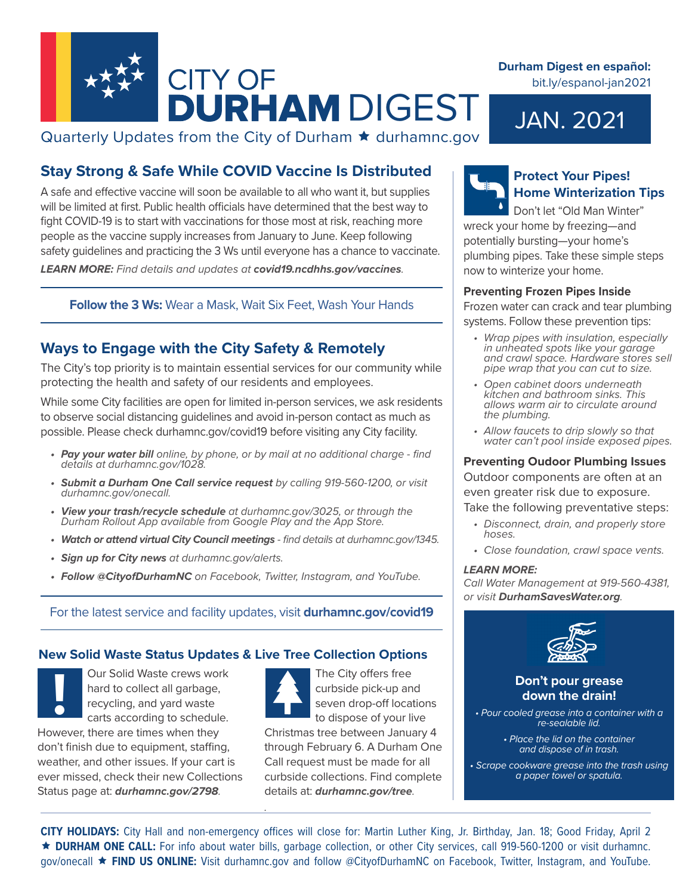

## Quarterly Updates from the City of Durham  $\star$  durhamnc.gov

## **Stay Strong & Safe While COVID Vaccine Is Distributed**

A safe and effective vaccine will soon be available to all who want it, but supplies will be limited at first. Public health officials have determined that the best way to fight COVID-19 is to start with vaccinations for those most at risk, reaching more people as the vaccine supply increases from January to June. Keep following safety guidelines and practicing the 3 Ws until everyone has a chance to vaccinate. *LEARN MORE: Find details and updates at covid19.ncdhhs.gov/vaccines.*

### **Follow the 3 Ws:** Wear a Mask, Wait Six Feet, Wash Your Hands

## **Ways to Engage with the City Safety & Remotely**

The City's top priority is to maintain essential services for our community while protecting the health and safety of our residents and employees.

While some City facilities are open for limited in-person services, we ask residents to observe social distancing guidelines and avoid in-person contact as much as possible. Please check durhamnc.gov/covid19 before visiting any City facility.

- *• Pay your water bill online, by phone, or by mail at no additional charge find details at durhamnc.gov/1028.*
- *• Submit a Durham One Call service request by calling 919-560-1200, or visit durhamnc.gov/onecall.*
- *• View your trash/recycle schedule at durhamnc.gov/3025, or through the Durham Rollout App available from Google Play and the App Store.*
- *• Watch or attend virtual City Council meetings find details at durhamnc.gov/1345.*
- *• Sign up for City news at durhamnc.gov/alerts.*
- *• Follow @CityofDurhamNC on Facebook, Twitter, Instagram, and YouTube.*

For the latest service and facility updates, visit **durhamnc.gov/covid19**

*.*

### **New Solid Waste Status Updates & Live Tree Collection Options**

Our Solid Waste crews work hard to collect all garbage, recycling, and yard waste carts according to schedule. However, there are times when they don't finish due to equipment, staffing, weather, and other issues. If your cart is ever missed, check their new Collections Status page at: *durhamnc.gov/2798.* **Example 19 Our Solid Waste crews work**<br> **Example 20 On't pour grease**<br>
recycling, and yard waste<br>
carts according to schedule.<br> **Example 20 On't pour grease into a contain!**<br>
to dispose of your live<br> **Example 20 On't pour** 

The City offers free curbside pick-up and seven drop-off locations

to dispose of your live Christmas tree between January 4 through February 6. A Durham One Call request must be made for all curbside collections. Find complete details at: *durhamnc.gov/tree.*

## **Protect Your Pipes! Home Winterization Tips**

Don't let "Old Man Winter" wreck your home by freezing—and potentially bursting—your home's plumbing pipes. Take these simple steps now to winterize your home.

JAN. 2021

**Durham Digest en español:** 

bit.ly/espanol-jan2021

### **Preventing Frozen Pipes Inside**

Frozen water can crack and tear plumbing

systems. Follow these prevention tips:

- *• Wrap pipes with insulation, especially in unheated spots like your garage and crawl space. Hardware stores sell pipe wrap that you can cut to size.*
- *• Open cabinet doors underneath kitchen and bathroom sinks. This allows warm air to circulate around the plumbing.*
- *• Allow faucets to drip slowly so that water can't pool inside exposed pipes.*

### **Preventing Oudoor Plumbing Issues**

Outdoor components are often at an

even greater risk due to exposure.

Take the following preventative steps:

- *• Disconnect, drain, and properly store hoses.*
- *• Close foundation, crawl space vents.*

### *LEARN MORE:*

*Call Water Management at 919-560-4381, or visit DurhamSavesWater.org.*



# **down the drain!**

*• Pour cooled grease into a container with a re-sealable lid.*

> *• Place the lid on the container and dispose of in trash.*

*• Scrape cookware grease into the trash using a paper towel or spatula.*

**CITY HOLIDAYS:** City Hall and non-emergency offices will close for: Martin Luther King, Jr. Birthday, Jan. 18; Good Friday, April 2 **DURHAM ONE CALL:** For info about water bills, garbage collection, or other City services, call 919-560-1200 or visit durhamnc. gov/onecall **FIND US ONLINE:** Visit durhamnc.gov and follow @CityofDurhamNC on Facebook, Twitter, Instagram, and YouTube.